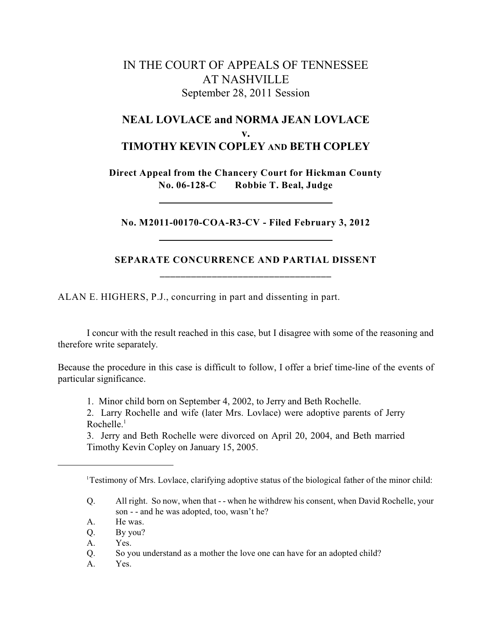## IN THE COURT OF APPEALS OF TENNESSEE AT NASHVILLE September 28, 2011 Session

## **NEAL LOVLACE and NORMA JEAN LOVLACE v. TIMOTHY KEVIN COPLEY AND BETH COPLEY**

**Direct Appeal from the Chancery Court for Hickman County No. 06-128-C Robbie T. Beal, Judge**

**No. M2011-00170-COA-R3-CV - Filed February 3, 2012**

## **SEPARATE CONCURRENCE AND PARTIAL DISSENT \_\_\_\_\_\_\_\_\_\_\_\_\_\_\_\_\_\_\_\_\_\_\_\_\_\_\_\_\_\_\_\_\_**

ALAN E. HIGHERS, P.J., concurring in part and dissenting in part.

I concur with the result reached in this case, but I disagree with some of the reasoning and therefore write separately.

Because the procedure in this case is difficult to follow, I offer a brief time-line of the events of particular significance.

1. Minor child born on September 4, 2002, to Jerry and Beth Rochelle.

2. Larry Rochelle and wife (later Mrs. Lovlace) were adoptive parents of Jerry Rochelle. $<sup>1</sup>$ </sup>

3. Jerry and Beth Rochelle were divorced on April 20, 2004, and Beth married Timothy Kevin Copley on January 15, 2005.

<sup>&</sup>lt;sup>1</sup>Testimony of Mrs. Lovlace, clarifying adoptive status of the biological father of the minor child:

Q. All right. So now, when that - - when he withdrew his consent, when David Rochelle, your son - - and he was adopted, too, wasn't he?

A. He was.

Q. By you?

A. Yes.

Q. So you understand as a mother the love one can have for an adopted child?

A. Yes.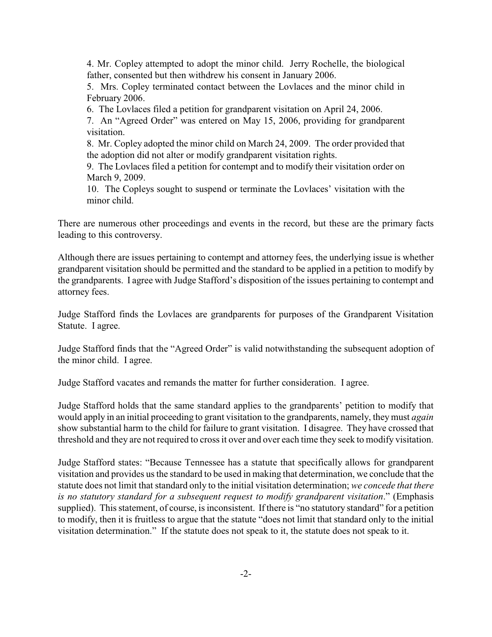4. Mr. Copley attempted to adopt the minor child. Jerry Rochelle, the biological father, consented but then withdrew his consent in January 2006.

5. Mrs. Copley terminated contact between the Lovlaces and the minor child in February 2006.

6. The Lovlaces filed a petition for grandparent visitation on April 24, 2006.

7. An "Agreed Order" was entered on May 15, 2006, providing for grandparent visitation.

8. Mr. Copley adopted the minor child on March 24, 2009. The order provided that the adoption did not alter or modify grandparent visitation rights.

9. The Lovlaces filed a petition for contempt and to modify their visitation order on March 9, 2009.

10. The Copleys sought to suspend or terminate the Lovlaces' visitation with the minor child.

There are numerous other proceedings and events in the record, but these are the primary facts leading to this controversy.

Although there are issues pertaining to contempt and attorney fees, the underlying issue is whether grandparent visitation should be permitted and the standard to be applied in a petition to modify by the grandparents. I agree with Judge Stafford's disposition of the issues pertaining to contempt and attorney fees.

Judge Stafford finds the Lovlaces are grandparents for purposes of the Grandparent Visitation Statute. I agree.

Judge Stafford finds that the "Agreed Order" is valid notwithstanding the subsequent adoption of the minor child. I agree.

Judge Stafford vacates and remands the matter for further consideration. I agree.

Judge Stafford holds that the same standard applies to the grandparents' petition to modify that would apply in an initial proceeding to grant visitation to the grandparents, namely, they must *again* show substantial harm to the child for failure to grant visitation. I disagree. They have crossed that threshold and they are not required to cross it over and over each time they seek to modify visitation.

Judge Stafford states: "Because Tennessee has a statute that specifically allows for grandparent visitation and provides us the standard to be used in making that determination, we conclude that the statute does not limit that standard only to the initial visitation determination; *we concede that there is no statutory standard for a subsequent request to modify grandparent visitation*." (Emphasis supplied). This statement, of course, is inconsistent. If there is "no statutory standard" for a petition to modify, then it is fruitless to argue that the statute "does not limit that standard only to the initial visitation determination." If the statute does not speak to it, the statute does not speak to it.